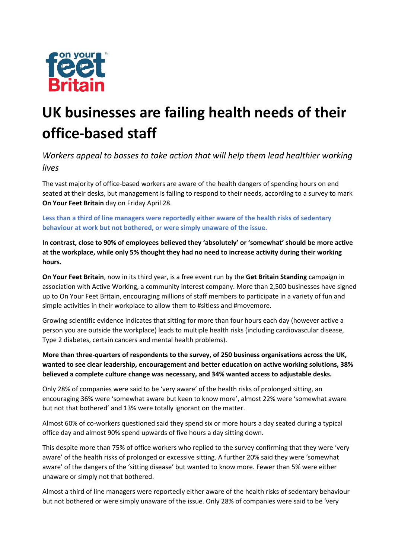

# **UK businesses are failing health needs of their office-based staff**

*Workers appeal to bosses to take action that will help them lead healthier working lives*

The vast majority of office-based workers are aware of the health dangers of spending hours on end seated at their desks, but management is failing to respond to their needs, according to a survey to mark **On Your Feet Britain** day on Friday April 28.

**Less than a third of line managers were reportedly either aware of the health risks of sedentary behaviour at work but not bothered, or were simply unaware of the issue.** 

**In contrast, close to 90% of employees believed they 'absolutely' or 'somewhat' should be more active at the workplace, while only 5% thought they had no need to increase activity during their working hours.**

**On Your Feet Britain**, now in its third year, is a free event run by the **Get Britain Standing** campaign in association with Active Working, a community interest company. More than 2,500 businesses have signed up to On Your Feet Britain, encouraging millions of staff members to participate in a variety of fun and simple activities in their workplace to allow them to #sitless and #movemore.

Growing scientific evidence indicates that sitting for more than four hours each day (however active a person you are outside the workplace) leads to multiple health risks (including cardiovascular disease, Type 2 diabetes, certain cancers and mental health problems).

**More than three-quarters of respondents to the survey, of 250 business organisations across the UK, wanted to see clear leadership, encouragement and better education on active working solutions, 38% believed a complete culture change was necessary, and 34% wanted access to adjustable desks.**

Only 28% of companies were said to be 'very aware' of the health risks of prolonged sitting, an encouraging 36% were 'somewhat aware but keen to know more', almost 22% were 'somewhat aware but not that bothered' and 13% were totally ignorant on the matter.

Almost 60% of co-workers questioned said they spend six or more hours a day seated during a typical office day and almost 90% spend upwards of five hours a day sitting down.

This despite more than 75% of office workers who replied to the survey confirming that they were 'very aware' of the health risks of prolonged or excessive sitting. A further 20% said they were 'somewhat aware' of the dangers of the 'sitting disease' but wanted to know more. Fewer than 5% were either unaware or simply not that bothered.

Almost a third of line managers were reportedly either aware of the health risks of sedentary behaviour but not bothered or were simply unaware of the issue. Only 28% of companies were said to be 'very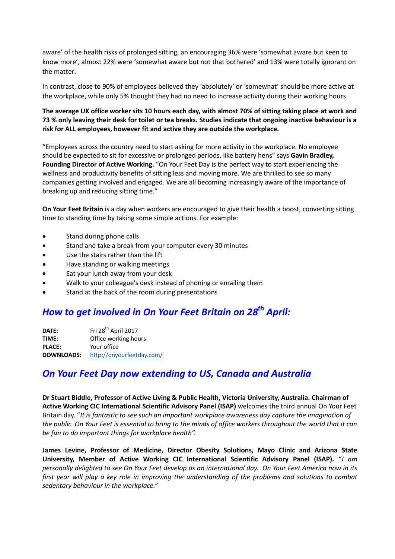aware' of the health risks of prolonged sitting, an encouraging 36% were 'somewhat aware but keen to know more', almost 22% were 'somewhat aware but not that bothered' and 13% were totally ignorant on the matter.

In contrast, close to 90% of employees believed they 'absolutely' or 'somewhat' should be more active at the workplace, while only 5% thought they had no need to increase activity during their working hours.

**The average UK office worker sits 10 hours each day, with almost 70% of sitting taking place at work and 73 % only leaving their desk for toilet or tea breaks. Studies indicate that ongoing inactive behaviour is a risk for ALL employees, however fit and active they are outside the workplace.** 

"Employees across the country need to start asking for more activity in the workplace. No employee should be expected to sit for excessive or prolonged periods, like battery hens" says **Gavin Bradley, Founding Director of Active Working.** "On Your Feet Day is the perfect way to start experiencing the wellness and productivity benefits of sitting less and moving more. We are thrilled to see so many companies getting involved and engaged. We are all becoming increasingly aware of the importance of breaking up and reducing sitting time."

**On Your Feet Britain** is a day when workers are encouraged to give their health a boost, converting sitting time to standing time by taking some simple actions. For example:

- Stand during phone calls
- Stand and take a break from your computer every 30 minutes
- Use the stairs rather than the lift
- Have standing or walking meetings
- Eat your lunch away from your desk
- Walk to your colleague's desk instead of phoning or emailing them
- Stand at the back of the room during presentations

## *How to get involved in On Your Feet Britain on 28 th April:*

**DATE:** Fri 28<sup>th</sup> April 2017 **TIME:** Office working hours **PLACE:** Your office **DOWNLOADS:** <http://onyourfeetday.com/>

## *On Your Feet Day now extending to US, Canada and Australia*

**Dr Stuart Biddle, Professor of Active Living & Public Health, Victoria University, Australia. Chairman of Active Working CIC International Scientific Advisory Panel (ISAP)** welcomes the third annual On Your Feet Britain day. "*It is fantastic to see such an important workplace awareness day capture the imagination of the public. On Your Feet is essential to bring to the minds of office workers throughout the world that it can be fun to do important things for workplace health".*

**James Levine, Professor of Medicine, Director Obesity Solutions, Mayo Clinic and Arizona State University, Member of Active Working CIC International Scientific Advisory Panel (ISAP).** "*I am personally delighted to see On Your Feet develop as an international day. On Your Feet America now in its first year will play a key role in improving the understanding of the problems and solutions to combat sedentary behaviour in the workplace."*